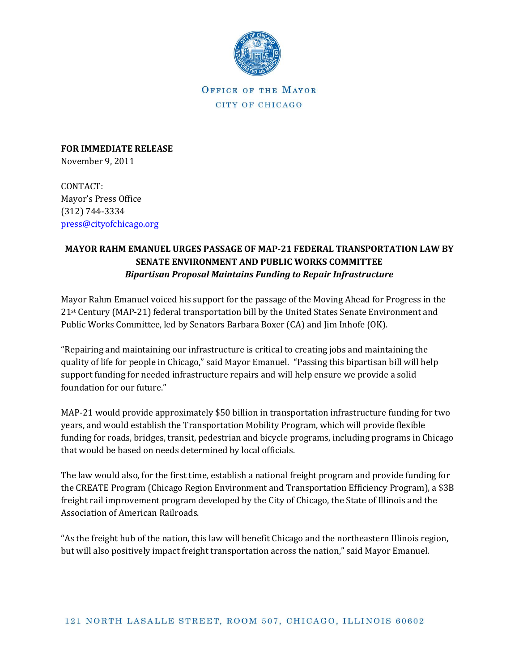

OFFICE OF THE MAYOR CITY OF CHICAGO

**FOR IMMEDIATE RELEASE** November 9, 2011

CONTACT: Mayor's Press Office (312) 744-3334 [press@cityofchicago.org](mailto:press@cityofchicago.org)

## **MAYOR RAHM EMANUEL URGES PASSAGE OF MAP-21 FEDERAL TRANSPORTATION LAW BY SENATE ENVIRONMENT AND PUBLIC WORKS COMMITTEE**  *Bipartisan Proposal Maintains Funding to Repair Infrastructure*

Mayor Rahm Emanuel voiced his support for the passage of the Moving Ahead for Progress in the 21st Century (MAP-21) federal transportation bill by the United States Senate Environment and Public Works Committee, led by Senators Barbara Boxer (CA) and Jim Inhofe (OK).

"Repairing and maintaining our infrastructure is critical to creating jobs and maintaining the quality of life for people in Chicago," said Mayor Emanuel. "Passing this bipartisan bill will help support funding for needed infrastructure repairs and will help ensure we provide a solid foundation for our future."

MAP-21 would provide approximately \$50 billion in transportation infrastructure funding for two years, and would establish the Transportation Mobility Program, which will provide flexible funding for roads, bridges, transit, pedestrian and bicycle programs, including programs in Chicago that would be based on needs determined by local officials.

The law would also, for the first time, establish a national freight program and provide funding for the CREATE Program (Chicago Region Environment and Transportation Efficiency Program), a \$3B freight rail improvement program developed by the City of Chicago, the State of Illinois and the Association of American Railroads.

"As the freight hub of the nation, this law will benefit Chicago and the northeastern Illinois region, but will also positively impact freight transportation across the nation," said Mayor Emanuel.